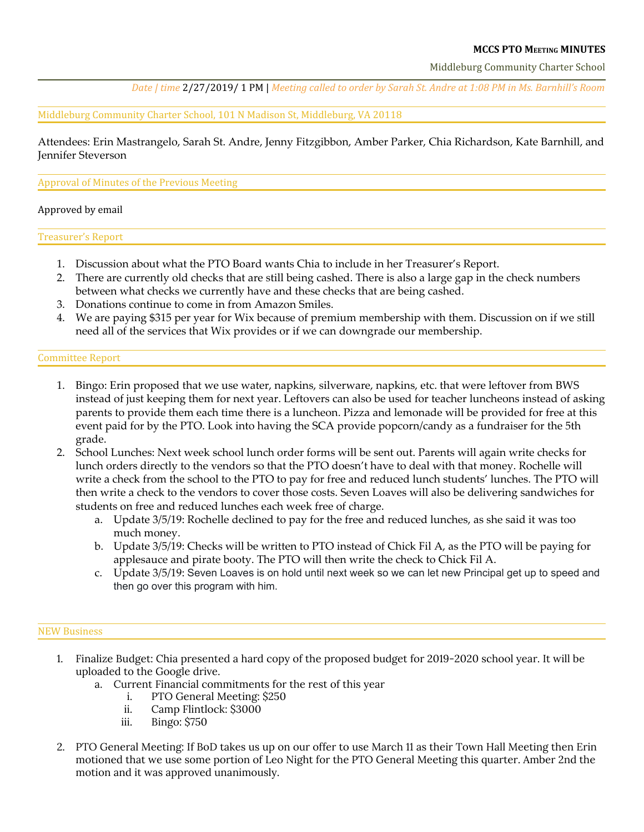# **MCCS PTO MEETING MINUTES**

Middleburg Community Charter School

Date | time 2/27/2019/1 PM | Meeting called to order by Sarah St. Andre at 1:08 PM in Ms. Barnhill's Room

Middleburg Community Charter School, 101 N Madison St, Middleburg, VA 20118

Attendees: Erin Mastrangelo, Sarah St. Andre, Jenny Fitzgibbon, Amber Parker, Chia Richardson, Kate Barnhill, and Jennifer Steverson

#### Approval of Minutes of the Previous Meeting

#### Approved by email

Treasurer's Report

- 1. Discussion about what the PTO Board wants Chia to include in her Treasurer's Report.
- 2. There are currently old checks that are still being cashed. There is also a large gap in the check numbers between what checks we currently have and these checks that are being cashed.
- 3. Donations continue to come in from Amazon Smiles.
- 4. We are paying \$315 per year for Wix because of premium membership with them. Discussion on if we still need all of the services that Wix provides or if we can downgrade our membership.

### Committee Report

- 1. Bingo: Erin proposed that we use water, napkins, silverware, napkins, etc. that were leftover from BWS instead of just keeping them for next year. Leftovers can also be used for teacher luncheons instead of asking parents to provide them each time there is a luncheon. Pizza and lemonade will be provided for free at this event paid for by the PTO. Look into having the SCA provide popcorn/candy as a fundraiser for the 5th grade.
- 2. School Lunches: Next week school lunch order forms will be sent out. Parents will again write checks for lunch orders directly to the vendors so that the PTO doesn't have to deal with that money. Rochelle will write a check from the school to the PTO to pay for free and reduced lunch students' lunches. The PTO will then write a check to the vendors to cover those costs. Seven Loaves will also be delivering sandwiches for students on free and reduced lunches each week free of charge.
	- a. Update 3/5/19: Rochelle declined to pay for the free and reduced lunches, as she said it was too much money.
	- b. Update 3/5/19: Checks will be written to PTO instead of Chick Fil A, as the PTO will be paying for applesauce and pirate booty. The PTO will then write the check to Chick Fil A.
	- c. Update 3/5/19: Seven Loaves is on hold until next week so we can let new Principal get up to speed and then go over this program with him.

#### NEW Business

- 1. Finalize Budget: Chia presented a hard copy of the proposed budget for 2019-2020 school year. It will be uploaded to the Google drive.
	- a. Current Financial commitments for the rest of this year
		- i. PTO General Meeting: \$250
		- ii. Camp Flintlock: \$3000
		- iii. Bingo: \$750
- 2. PTO General Meeting: If BoD takes us up on our offer to use March 11 as their Town Hall Meeting then Erin motioned that we use some portion of Leo Night for the PTO General Meeting this quarter. Amber 2nd the motion and it was approved unanimously.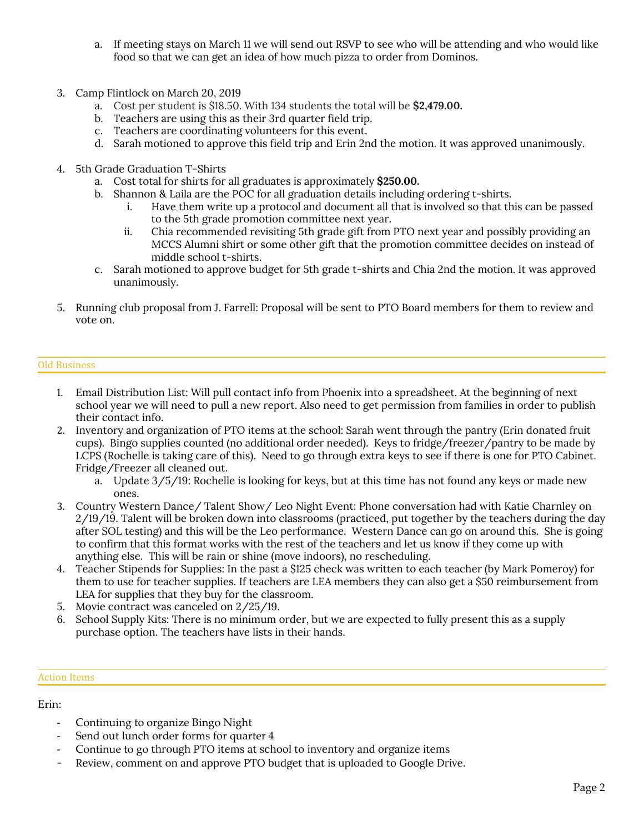- a. If meeting stays on March 11 we will send out RSVP to see who will be attending and who would like food so that we can get an idea of how much pizza to order from Dominos.
- 3. Camp Flintlock on March 20, 2019
	- a. Cost per student is \$18.50. With 134 students the total will be **\$2,479.00.**
	- b. Teachers are using this as their 3rd quarter field trip.
	- c. Teachers are coordinating volunteers for this event.
	- d. Sarah motioned to approve this field trip and Erin 2nd the motion. It was approved unanimously.
- 4. 5th Grade Graduation T-Shirts
	- a. Cost total for shirts for all graduates is approximately **\$250.00.**
	- b. Shannon & Laila are the POC for all graduation details including ordering t-shirts.
		- i. Have them write up a protocol and document all that is involved so that this can be passed to the 5th grade promotion committee next year.
		- ii. Chia recommended revisiting 5th grade gift from PTO next year and possibly providing an MCCS Alumni shirt or some other gift that the promotion committee decides on instead of middle school t-shirts.
	- c. Sarah motioned to approve budget for 5th grade t-shirts and Chia 2nd the motion. It was approved unanimously.
- 5. Running club proposal from J. Farrell: Proposal will be sent to PTO Board members for them to review and vote on.

### Old Business

- 1. Email Distribution List: Will pull contact info from Phoenix into a spreadsheet. At the beginning of next school year we will need to pull a new report. Also need to get permission from families in order to publish their contact info.
- 2. Inventory and organization of PTO items at the school: Sarah went through the pantry (Erin donated fruit cups). Bingo supplies counted (no additional order needed). Keys to fridge/freezer/pantry to be made by LCPS (Rochelle is taking care of this). Need to go through extra keys to see if there is one for PTO Cabinet. Fridge/Freezer all cleaned out.
	- a. Update 3/5/19: Rochelle is looking for keys, but at this time has not found any keys or made new ones.
- 3. Country Western Dance/ Talent Show/ Leo Night Event: Phone conversation had with Katie Charnley on 2/19/19. Talent will be broken down into classrooms (practiced, put together by the teachers during the day after SOL testing) and this will be the Leo performance. Western Dance can go on around this. She is going to confirm that this format works with the rest of the teachers and let us know if they come up with anything else. This will be rain or shine (move indoors), no rescheduling.
- 4. Teacher Stipends for Supplies: In the past a \$125 check was written to each teacher (by Mark Pomeroy) for them to use for teacher supplies. If teachers are LEA members they can also get a \$50 reimbursement from LEA for supplies that they buy for the classroom.
- 5. Movie contract was canceled on 2/25/19.
- 6. School Supply Kits: There is no minimum order, but we are expected to fully present this as a supply purchase option. The teachers have lists in their hands.

# Action Items

# Erin:

- Continuing to organize Bingo Night
- Send out lunch order forms for quarter 4
- Continue to go through PTO items at school to inventory and organize items
- Review, comment on and approve PTO budget that is uploaded to Google Drive.